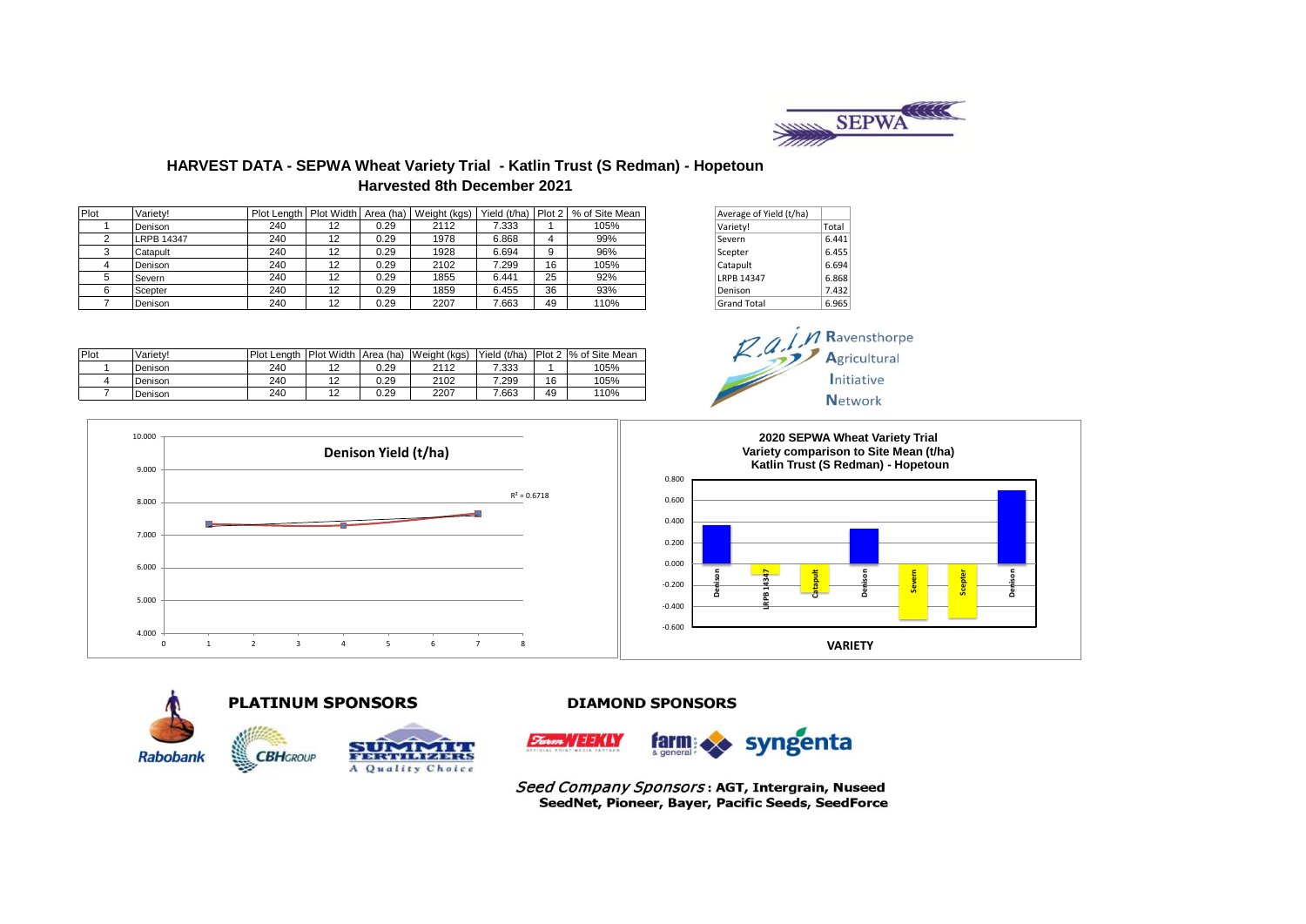

 $M$  *Ravensthorpe* Agricultural Initiative **Network** 

# **HARVEST DATA - SEPWA Wheat Variety Trial - Katlin Trust (S Redman) - Hopetoun Harvested 8th December 2021**

| Plot | Variety!          | Plot Lenath I |    |      | Plot Width Area (ha)   Weight (kgs) |       |    | Yield (t/ha) Plot 2   % of Site Mean | Average of Yield (t/ha) |       |
|------|-------------------|---------------|----|------|-------------------------------------|-------|----|--------------------------------------|-------------------------|-------|
|      | Denison           | 240           | 12 | 0.29 | 2112                                | 7.333 |    | 105%                                 | Variety!                | Total |
|      | <b>LRPB 14347</b> | 240           | 12 | 0.29 | 1978                                | 6.868 |    | 99%                                  | Severn                  | 6.441 |
|      | Catapult          | 240           | 12 | 0.29 | 1928                                | 6.694 | 9  | 96%                                  | Scepter                 | 6.455 |
|      | Denison           | 240           | 12 | 0.29 | 2102                                | .299  | 16 | 105%                                 | Catapult                | 6.694 |
|      | Severn            | 240           | 12 | 0.29 | 1855                                | 6.441 | 25 | 92%                                  | <b>LRPB 14347</b>       | 6.868 |
|      | Scepter           | 240           | 12 | 0.29 | 1859                                | 6.455 | 36 | 93%                                  | Denison                 | 7.432 |
|      | Denison           | 240           | 12 | 0.29 | 2207                                | 7.663 | 49 | 110%                                 | <b>Grand Total</b>      | 6.965 |

| Average of Yield (t/ha) |       |
|-------------------------|-------|
| Variety!                | Total |
| Severn                  | 6.441 |
| Scepter                 | 6.455 |
| Catapult                | 6.694 |
| <b>LRPB 14347</b>       | 6.868 |
| Denison                 | 7.432 |
| <b>Grand Total</b>      | 6.965 |

| Plot | Variety! | Plot Lenath | Plot Width Area (ha) |      | Weight (kgs) | Yield (t/ha) |    | Plot 2 % of Site Mean |
|------|----------|-------------|----------------------|------|--------------|--------------|----|-----------------------|
|      | Denison  | 240         | 12                   | 0.29 | 2112         | 7.333        |    | 105%                  |
|      | Denison  | 240         | 12                   | 0.29 | 2102         | 299          | 16 | 105%                  |
|      | Denison  | 240         | 12                   | 0.29 | 2207         | 7.663        | 49 | 110%                  |
|      |          |             |                      |      |              |              |    |                       |







### **PLATINUM SPONSORS**



## **DIAMOND SPONSORS**



Seed Company Sponsors: AGT, Intergrain, Nuseed SeedNet, Pioneer, Bayer, Pacific Seeds, SeedForce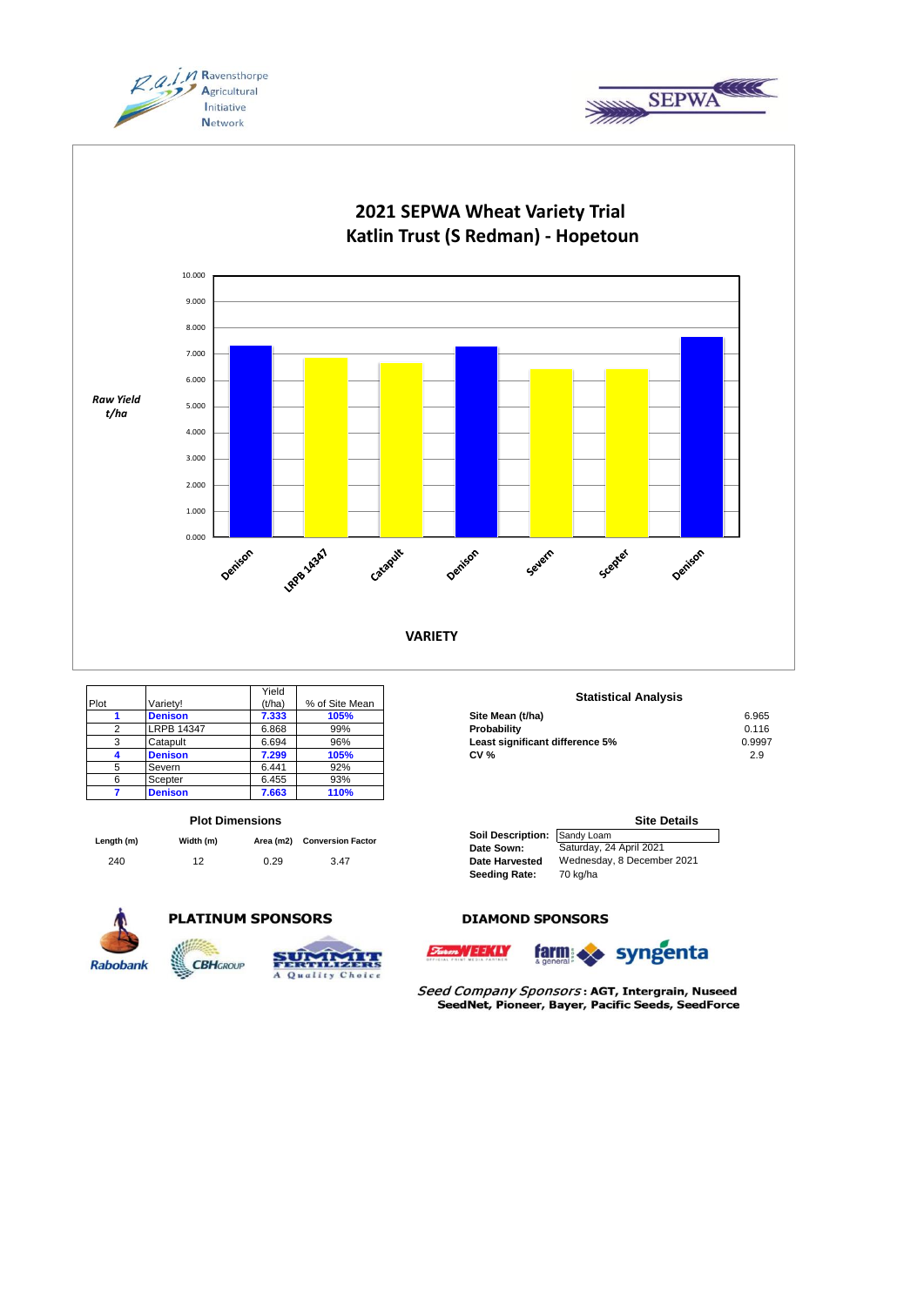





|      |                   | Yield  |                |
|------|-------------------|--------|----------------|
| Plot | Variety!          | (t/ha) | % of Site Mean |
|      | <b>Denison</b>    | 7.333  | 105%           |
| 2    | <b>LRPB 14347</b> | 6.868  | 99%            |
| 3    | Catapult          | 6.694  | 96%            |
|      | <b>Denison</b>    | 7.299  | 105%           |
| 5    | Severn            | 6.441  | 92%            |
|      | Scepter           | 6.455  | 93%            |
|      | <b>Denison</b>    | 7.663  | 110%           |

#### **Plot Dimensions**

| Length (m) | Width (m) |      |      | Area (m2) Conversion Factor | <b>Soil Description: Sandy Loam</b> |  |
|------------|-----------|------|------|-----------------------------|-------------------------------------|--|
|            |           |      |      | Date Sown:                  | Saturday, 24 April 2021             |  |
| 240        |           | 0.29 | 3.47 | <b>Date Harvested</b>       | Wednesday, 8 Decemb                 |  |

**CBHGROUP** 



## **PLATINUM SPONSORS**



#### **Statistical Analysis**

| .              | .     | .    |                                 |        |
|----------------|-------|------|---------------------------------|--------|
| <b>Denison</b> | 7.333 | 105% | Site Mean (t/ha)                | 6.965  |
| LRPB 14347     | 6.868 | 99%  | Probabilitv                     | 0.116  |
| Catapult       | 6.694 | 96%  | Least significant difference 5% | 0.9997 |
| <b>Denison</b> | 7.299 | 105% | <b>CV %</b>                     | 2.9    |
|                |       |      |                                 |        |

|                              | <b>Site Details</b>        |
|------------------------------|----------------------------|
| Soil Description: Sandy Loam |                            |
| Date Sown:                   | Saturday, 24 April 2021    |
| <b>Date Harvested</b>        | Wednesday, 8 December 2021 |
| <b>Seeding Rate:</b>         | 70 kg/ha                   |

#### **DIAMOND SPONSORS**





Seed Company Sponsors: AGT, Intergrain, Nuseed SeedNet, Pioneer, Bayer, Pacific Seeds, SeedForce